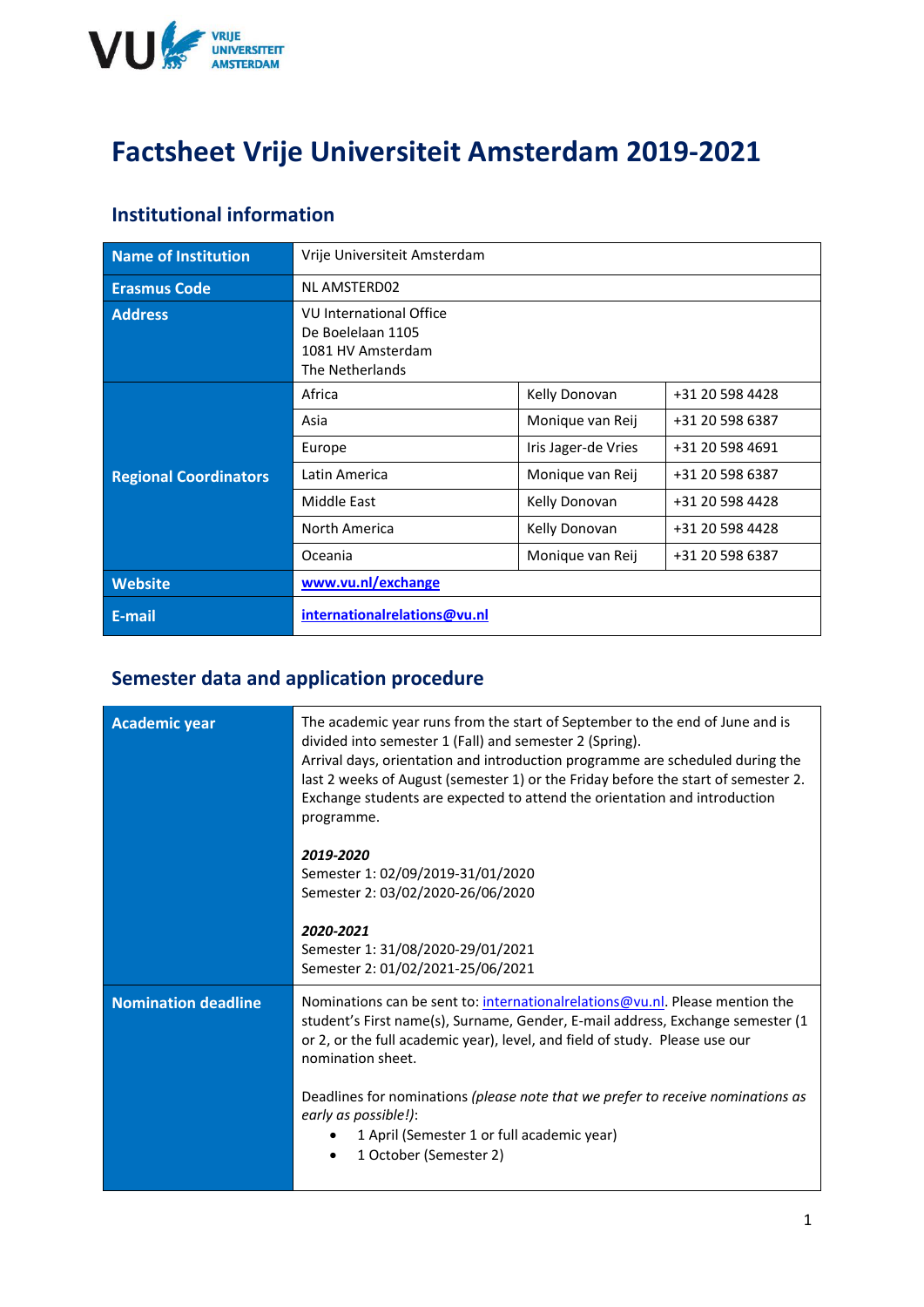

# **Factsheet Vrije Universiteit Amsterdam 2019-2021**

#### **Institutional information**

| Name of Institution          | Vrije Universiteit Amsterdam                                                                |                     |                 |
|------------------------------|---------------------------------------------------------------------------------------------|---------------------|-----------------|
| <b>Erasmus Code</b>          | <b>NL AMSTERD02</b>                                                                         |                     |                 |
| <b>Address</b>               | <b>VU International Office</b><br>De Boelelaan 1105<br>1081 HV Amsterdam<br>The Netherlands |                     |                 |
|                              | Africa                                                                                      | Kelly Donovan       | +31 20 598 4428 |
|                              | Asia                                                                                        | Monique van Reij    | +31 20 598 6387 |
|                              | Europe                                                                                      | Iris Jager-de Vries | +31 20 598 4691 |
| <b>Regional Coordinators</b> | Latin America                                                                               | Monique van Reij    | +31 20 598 6387 |
|                              | Middle East                                                                                 | Kelly Donovan       | +31 20 598 4428 |
|                              | North America                                                                               | Kelly Donovan       | +31 20 598 4428 |
|                              | Oceania                                                                                     | Monique van Reij    | +31 20 598 6387 |
| <b>Website</b>               | www.vu.nl/exchange                                                                          |                     |                 |
| E-mail                       | internationalrelations@vu.nl                                                                |                     |                 |

### **Semester data and application procedure**

| <b>Academic year</b>       | The academic year runs from the start of September to the end of June and is<br>divided into semester 1 (Fall) and semester 2 (Spring).<br>Arrival days, orientation and introduction programme are scheduled during the<br>last 2 weeks of August (semester 1) or the Friday before the start of semester 2.<br>Exchange students are expected to attend the orientation and introduction<br>programme. |  |
|----------------------------|----------------------------------------------------------------------------------------------------------------------------------------------------------------------------------------------------------------------------------------------------------------------------------------------------------------------------------------------------------------------------------------------------------|--|
|                            | 2019-2020<br>Semester 1: 02/09/2019-31/01/2020<br>Semester 2: 03/02/2020-26/06/2020                                                                                                                                                                                                                                                                                                                      |  |
|                            | 2020-2021<br>Semester 1: 31/08/2020-29/01/2021<br>Semester 2: 01/02/2021-25/06/2021                                                                                                                                                                                                                                                                                                                      |  |
| <b>Nomination deadline</b> | Nominations can be sent to: international relations@vu.nl. Please mention the<br>student's First name(s), Surname, Gender, E-mail address, Exchange semester (1)<br>or 2, or the full academic year), level, and field of study. Please use our<br>nomination sheet.                                                                                                                                     |  |
|                            | Deadlines for nominations (please note that we prefer to receive nominations as<br>early as possible!):<br>1 April (Semester 1 or full academic year)<br>1 October (Semester 2)                                                                                                                                                                                                                          |  |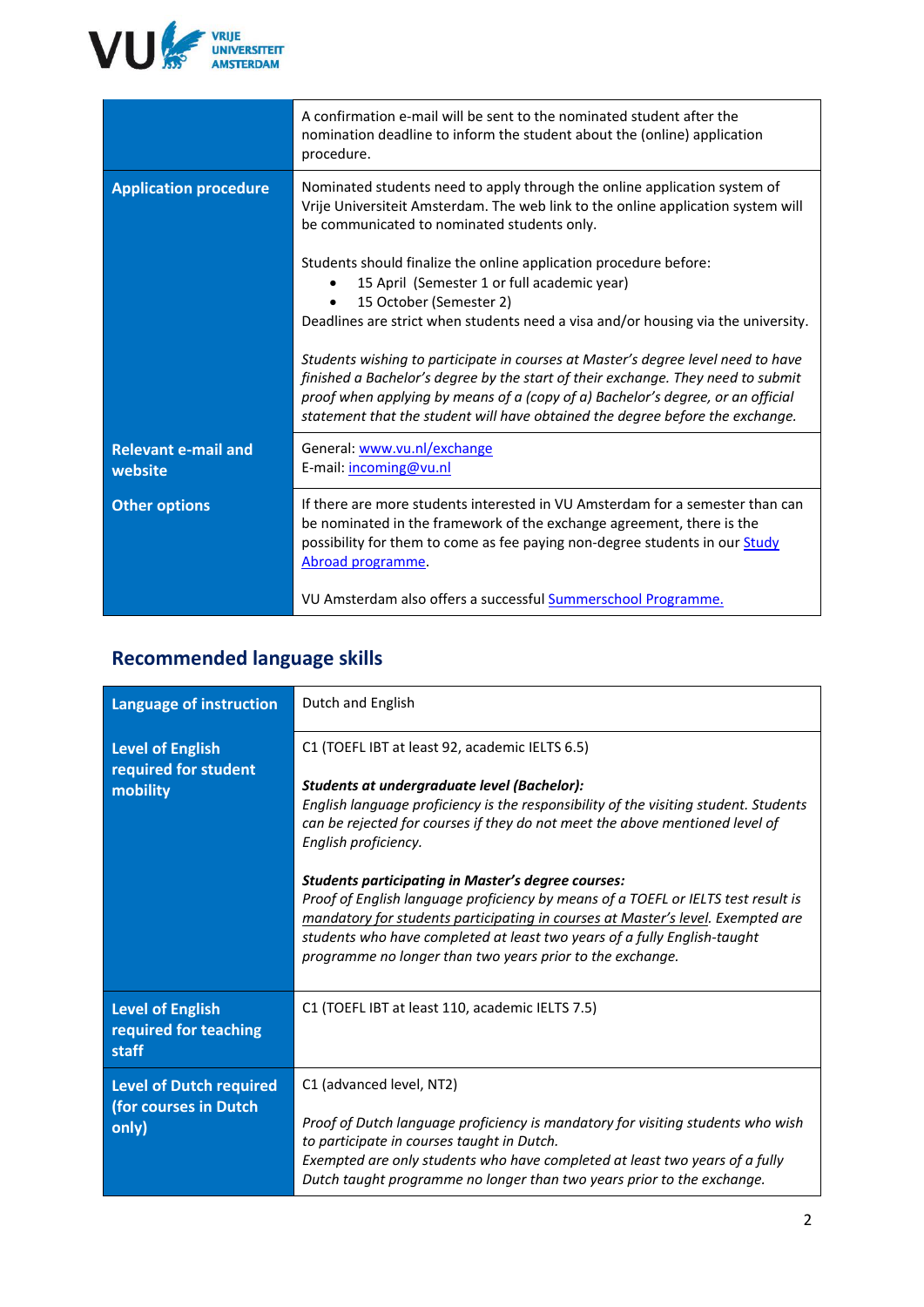

|                                       | A confirmation e-mail will be sent to the nominated student after the<br>nomination deadline to inform the student about the (online) application<br>procedure.                                                                                                                                                                                                                                                                                                                                                                                                              |
|---------------------------------------|------------------------------------------------------------------------------------------------------------------------------------------------------------------------------------------------------------------------------------------------------------------------------------------------------------------------------------------------------------------------------------------------------------------------------------------------------------------------------------------------------------------------------------------------------------------------------|
| <b>Application procedure</b>          | Nominated students need to apply through the online application system of<br>Vrije Universiteit Amsterdam. The web link to the online application system will<br>be communicated to nominated students only.                                                                                                                                                                                                                                                                                                                                                                 |
|                                       | Students should finalize the online application procedure before:<br>15 April (Semester 1 or full academic year)<br>15 October (Semester 2)<br>Deadlines are strict when students need a visa and/or housing via the university.<br>Students wishing to participate in courses at Master's degree level need to have<br>finished a Bachelor's degree by the start of their exchange. They need to submit<br>proof when applying by means of a (copy of a) Bachelor's degree, or an official<br>statement that the student will have obtained the degree before the exchange. |
| <b>Relevant e-mail and</b><br>website | General: www.vu.nl/exchange<br>E-mail: incoming@vu.nl                                                                                                                                                                                                                                                                                                                                                                                                                                                                                                                        |
| <b>Other options</b>                  | If there are more students interested in VU Amsterdam for a semester than can<br>be nominated in the framework of the exchange agreement, there is the<br>possibility for them to come as fee paying non-degree students in our Study<br>Abroad programme.<br>VU Amsterdam also offers a successful <b>Summerschool Programme.</b>                                                                                                                                                                                                                                           |

### **Recommended language skills**

| Language of instruction                                   | Dutch and English                                                                                                                                                                                                                                                                                                                                                                                                                                                                                                                                                                                                                                                           |
|-----------------------------------------------------------|-----------------------------------------------------------------------------------------------------------------------------------------------------------------------------------------------------------------------------------------------------------------------------------------------------------------------------------------------------------------------------------------------------------------------------------------------------------------------------------------------------------------------------------------------------------------------------------------------------------------------------------------------------------------------------|
| Level of English<br>required for student<br>mobility      | C1 (TOEFL IBT at least 92, academic IELTS 6.5)<br>Students at undergraduate level (Bachelor):<br>English language proficiency is the responsibility of the visiting student. Students<br>can be rejected for courses if they do not meet the above mentioned level of<br>English proficiency.<br><b>Students participating in Master's degree courses:</b><br>Proof of English language proficiency by means of a TOEFL or IELTS test result is<br>mandatory for students participating in courses at Master's level. Exempted are<br>students who have completed at least two years of a fully English-taught<br>programme no longer than two years prior to the exchange. |
| Level of English<br>required for teaching<br>staff        | C1 (TOEFL IBT at least 110, academic IELTS 7.5)                                                                                                                                                                                                                                                                                                                                                                                                                                                                                                                                                                                                                             |
| Level of Dutch required<br>(for courses in Dutch<br>only) | C1 (advanced level, NT2)<br>Proof of Dutch language proficiency is mandatory for visiting students who wish<br>to participate in courses taught in Dutch.<br>Exempted are only students who have completed at least two years of a fully<br>Dutch taught programme no longer than two years prior to the exchange.                                                                                                                                                                                                                                                                                                                                                          |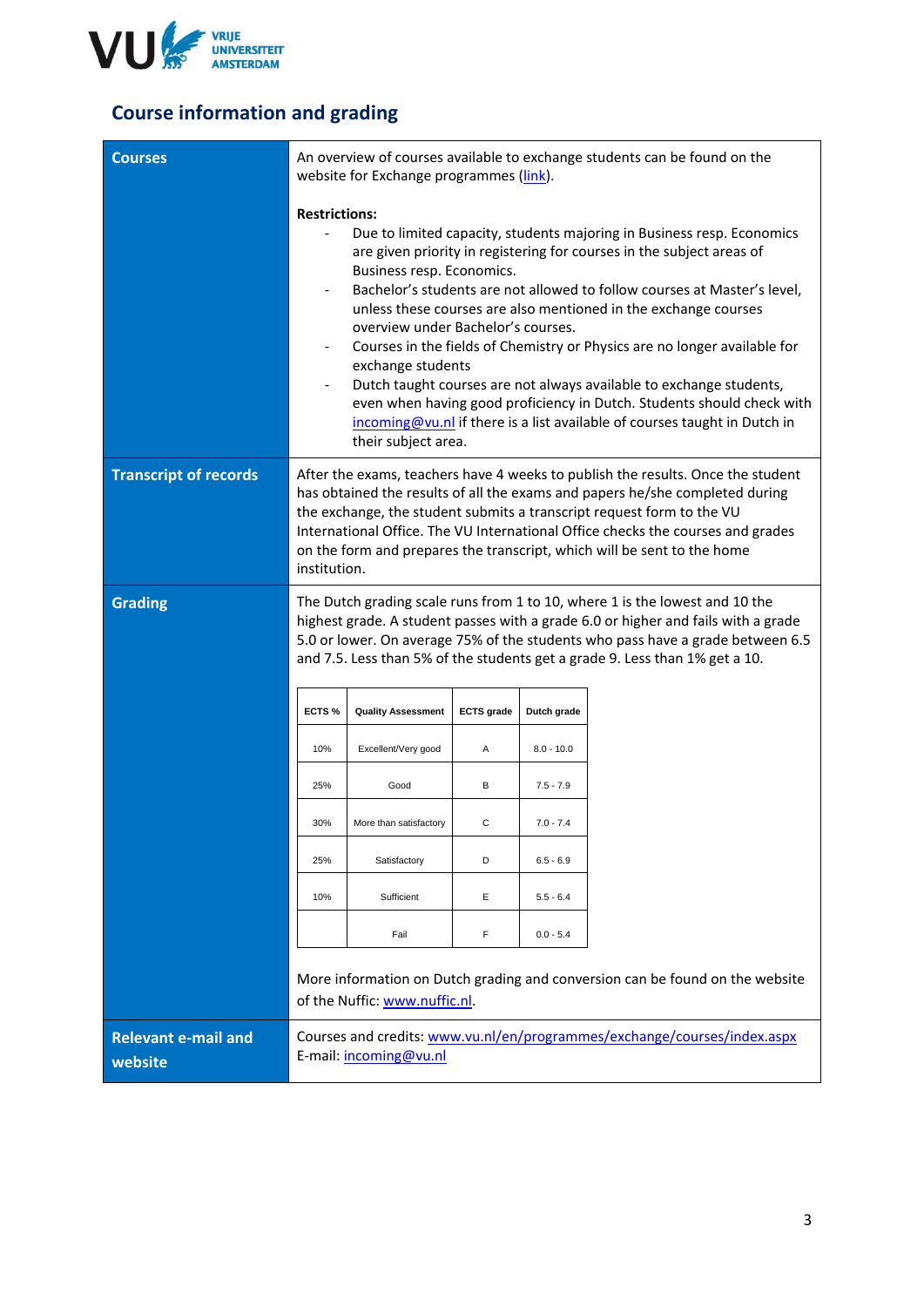

## **Course information and grading**

| <b>Courses</b>                        | An overview of courses available to exchange students can be found on the<br>website for Exchange programmes (link).                                                                                                                                                                                                                                                                                                                                                                                                                                                                                                                                                                                                                                                         |                               |                   |              |                                                                                                                                                                                                                                                                                                                                                                                                        |
|---------------------------------------|------------------------------------------------------------------------------------------------------------------------------------------------------------------------------------------------------------------------------------------------------------------------------------------------------------------------------------------------------------------------------------------------------------------------------------------------------------------------------------------------------------------------------------------------------------------------------------------------------------------------------------------------------------------------------------------------------------------------------------------------------------------------------|-------------------------------|-------------------|--------------|--------------------------------------------------------------------------------------------------------------------------------------------------------------------------------------------------------------------------------------------------------------------------------------------------------------------------------------------------------------------------------------------------------|
|                                       | <b>Restrictions:</b><br>Due to limited capacity, students majoring in Business resp. Economics<br>are given priority in registering for courses in the subject areas of<br>Business resp. Economics.<br>Bachelor's students are not allowed to follow courses at Master's level,<br>$\overline{\phantom{a}}$<br>unless these courses are also mentioned in the exchange courses<br>overview under Bachelor's courses.<br>Courses in the fields of Chemistry or Physics are no longer available for<br>exchange students<br>Dutch taught courses are not always available to exchange students,<br>even when having good proficiency in Dutch. Students should check with<br>incoming@vu.nl if there is a list available of courses taught in Dutch in<br>their subject area. |                               |                   |              |                                                                                                                                                                                                                                                                                                                                                                                                        |
| <b>Transcript of records</b>          | institution.                                                                                                                                                                                                                                                                                                                                                                                                                                                                                                                                                                                                                                                                                                                                                                 |                               |                   |              | After the exams, teachers have 4 weeks to publish the results. Once the student<br>has obtained the results of all the exams and papers he/she completed during<br>the exchange, the student submits a transcript request form to the VU<br>International Office. The VU International Office checks the courses and grades<br>on the form and prepares the transcript, which will be sent to the home |
| <b>Grading</b>                        | The Dutch grading scale runs from 1 to 10, where 1 is the lowest and 10 the<br>highest grade. A student passes with a grade 6.0 or higher and fails with a grade<br>5.0 or lower. On average 75% of the students who pass have a grade between 6.5<br>and 7.5. Less than 5% of the students get a grade 9. Less than 1% get a 10.                                                                                                                                                                                                                                                                                                                                                                                                                                            |                               |                   |              |                                                                                                                                                                                                                                                                                                                                                                                                        |
|                                       | ECTS%                                                                                                                                                                                                                                                                                                                                                                                                                                                                                                                                                                                                                                                                                                                                                                        | <b>Quality Assessment</b>     | <b>ECTS</b> grade | Dutch grade  |                                                                                                                                                                                                                                                                                                                                                                                                        |
|                                       | 10%                                                                                                                                                                                                                                                                                                                                                                                                                                                                                                                                                                                                                                                                                                                                                                          | Excellent/Very good           | Α                 | $8.0 - 10.0$ |                                                                                                                                                                                                                                                                                                                                                                                                        |
|                                       | 25%                                                                                                                                                                                                                                                                                                                                                                                                                                                                                                                                                                                                                                                                                                                                                                          | Good                          | В                 | $7.5 - 7.9$  |                                                                                                                                                                                                                                                                                                                                                                                                        |
|                                       | 30%                                                                                                                                                                                                                                                                                                                                                                                                                                                                                                                                                                                                                                                                                                                                                                          | More than satisfactory        | С                 | $7.0 - 7.4$  |                                                                                                                                                                                                                                                                                                                                                                                                        |
|                                       | 25%                                                                                                                                                                                                                                                                                                                                                                                                                                                                                                                                                                                                                                                                                                                                                                          | Satisfactory                  | D                 | $6.5 - 6.9$  |                                                                                                                                                                                                                                                                                                                                                                                                        |
|                                       | 10%                                                                                                                                                                                                                                                                                                                                                                                                                                                                                                                                                                                                                                                                                                                                                                          | Sufficient                    | Е                 | $5.5 - 6.4$  |                                                                                                                                                                                                                                                                                                                                                                                                        |
|                                       |                                                                                                                                                                                                                                                                                                                                                                                                                                                                                                                                                                                                                                                                                                                                                                              | Fail                          | F                 | $0.0 - 5.4$  |                                                                                                                                                                                                                                                                                                                                                                                                        |
|                                       |                                                                                                                                                                                                                                                                                                                                                                                                                                                                                                                                                                                                                                                                                                                                                                              | of the Nuffic: www.nuffic.nl. |                   |              | More information on Dutch grading and conversion can be found on the website                                                                                                                                                                                                                                                                                                                           |
| <b>Relevant e-mail and</b><br>website |                                                                                                                                                                                                                                                                                                                                                                                                                                                                                                                                                                                                                                                                                                                                                                              | E-mail: incoming@vu.nl        |                   |              | Courses and credits: www.vu.nl/en/programmes/exchange/courses/index.aspx                                                                                                                                                                                                                                                                                                                               |